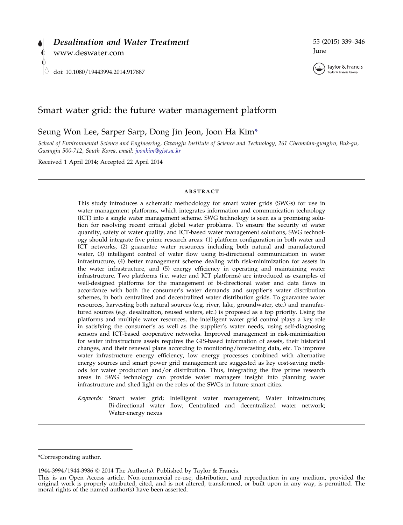



# Smart water grid: the future water management platform

Seung Won Lee, Sarper Sarp, Dong Jin Jeon, Joon Ha Kim\*

School of Environmental Science and Engineering, Gwangju Institute of Science and Technology, 261 Cheomdan-gwagiro, Buk-gu, Gwangju 500-712, South Korea, email: [joonkim@gist.ac.kr](mailto:joonkim@gist.ac.kr)

Received 1 April 2014; Accepted 22 April 2014

# ABSTRACT

This study introduces a schematic methodology for smart water grids (SWGs) for use in water management platforms, which integrates information and communication technology (ICT) into a single water management scheme. SWG technology is seen as a promising solution for resolving recent critical global water problems. To ensure the security of water quantity, safety of water quality, and ICT-based water management solutions, SWG technology should integrate five prime research areas: (1) platform configuration in both water and ICT networks, (2) guarantee water resources including both natural and manufactured water, (3) intelligent control of water flow using bi-directional communication in water infrastructure, (4) better management scheme dealing with risk-minimization for assets in the water infrastructure, and (5) energy efficiency in operating and maintaining water infrastructure. Two platforms (i.e. water and ICT platforms) are introduced as examples of well-designed platforms for the management of bi-directional water and data flows in accordance with both the consumer's water demands and supplier's water distribution schemes, in both centralized and decentralized water distribution grids. To guarantee water resources, harvesting both natural sources (e.g. river, lake, groundwater, etc.) and manufactured sources (e.g. desalination, reused waters, etc.) is proposed as a top priority. Using the platforms and multiple water resources, the intelligent water grid control plays a key role in satisfying the consumer's as well as the supplier's water needs, using self-diagnosing sensors and ICT-based cooperative networks. Improved management in risk-minimization for water infrastructure assets requires the GIS-based information of assets, their historical changes, and their renewal plans according to monitoring/forecasting data, etc. To improve water infrastructure energy efficiency, low energy processes combined with alternative energy sources and smart power grid management are suggested as key cost-saving methods for water production and/or distribution. Thus, integrating the five prime research areas in SWG technology can provide water managers insight into planning water infrastructure and shed light on the roles of the SWGs in future smart cities.

Keywords: Smart water grid; Intelligent water management; Water infrastructure; Bi-directional water flow; Centralized and decentralized water network; Water-energy nexus

<sup>\*</sup>Corresponding author.

<sup>1944-3994/1944-3986</sup> 2014 The Author(s). Published by Taylor & Francis.

This is an Open Access article. Non-commercial re-use, distribution, and reproduction in any medium, provided the original work is properly attributed, cited, and is not altered, transformed, or built upon in any way, is permitted. The moral rights of the named author(s) have been asserted.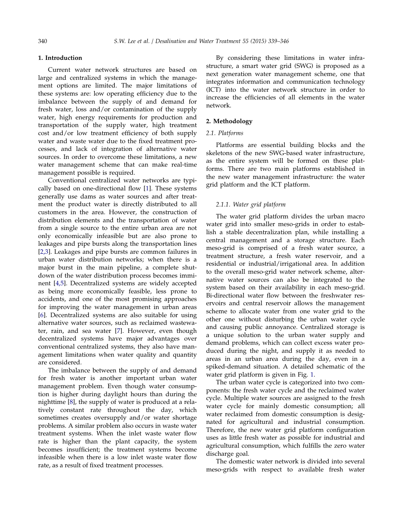## 1. Introduction

Current water network structures are based on large and centralized systems in which the management options are limited. The major limitations of these systems are: low operating efficiency due to the imbalance between the supply of and demand for fresh water, loss and/or contamination of the supply water, high energy requirements for production and transportation of the supply water, high treatment cost and/or low treatment efficiency of both supply water and waste water due to the fixed treatment processes, and lack of integration of alternative water sources. In order to overcome these limitations, a new water management scheme that can make real-time management possible is required.

Conventional centralized water networks are typically based on one-directional flow [\[1](#page-6-0)]. These systems generally use dams as water sources and after treatment the product water is directly distributed to all customers in the area. However, the construction of distribution elements and the transportation of water from a single source to the entire urban area are not only economically infeasible but are also prone to leakages and pipe bursts along the transportation lines [[2,3](#page-6-0)]. Leakages and pipe bursts are common failures in urban water distribution networks; when there is a major burst in the main pipeline, a complete shutdown of the water distribution process becomes imminent [\[4,5](#page-7-0)]. Decentralized systems are widely accepted as being more economically feasible, less prone to accidents, and one of the most promising approaches for improving the water management in urban areas [[6\]](#page-7-0). Decentralized systems are also suitable for using alternative water sources, such as reclaimed wastewater, rain, and sea water [[7\]](#page-7-0). However, even though decentralized systems have major advantages over conventional centralized systems, they also have management limitations when water quality and quantity are considered.

The imbalance between the supply of and demand for fresh water is another important urban water management problem. Even though water consumption is higher during daylight hours than during the nighttime [\[8](#page-7-0)], the supply of water is produced at a relatively constant rate throughout the day, which sometimes creates oversupply and/or water shortage problems. A similar problem also occurs in waste water treatment systems. When the inlet waste water flow rate is higher than the plant capacity, the system becomes insufficient; the treatment systems become infeasible when there is a low inlet waste water flow rate, as a result of fixed treatment processes.

By considering these limitations in water infrastructure, a smart water grid (SWG) is proposed as a next generation water management scheme, one that integrates information and communication technology (ICT) into the water network structure in order to increase the efficiencies of all elements in the water network.

# 2. Methodology

# 2.1. Platforms

Platforms are essential building blocks and the skeletons of the new SWG-based water infrastructure, as the entire system will be formed on these platforms. There are two main platforms established in the new water management infrastructure: the water grid platform and the ICT platform.

#### 2.1.1. Water grid platform

The water grid platform divides the urban macro water grid into smaller meso-grids in order to establish a stable decentralization plan, while installing a central management and a storage structure. Each meso-grid is comprised of a fresh water source, a treatment structure, a fresh water reservoir, and a residential or industrial/irrigational area. In addition to the overall meso-grid water network scheme, alternative water sources can also be integrated to the system based on their availability in each meso-grid. Bi-directional water flow between the freshwater reservoirs and central reservoir allows the management scheme to allocate water from one water grid to the other one without disturbing the urban water cycle and causing public annoyance. Centralized storage is a unique solution to the urban water supply and demand problems, which can collect excess water produced during the night, and supply it as needed to areas in an urban area during the day, even in a spiked-demand situation. A detailed schematic of the water grid platform is given in Fig. [1](#page-2-0).

The urban water cycle is categorized into two components: the fresh water cycle and the reclaimed water cycle. Multiple water sources are assigned to the fresh water cycle for mainly domestic consumption; all water reclaimed from domestic consumption is designated for agricultural and industrial consumption. Therefore, the new water grid platform configuration uses as little fresh water as possible for industrial and agricultural consumption, which fulfills the zero water discharge goal.

The domestic water network is divided into several meso-grids with respect to available fresh water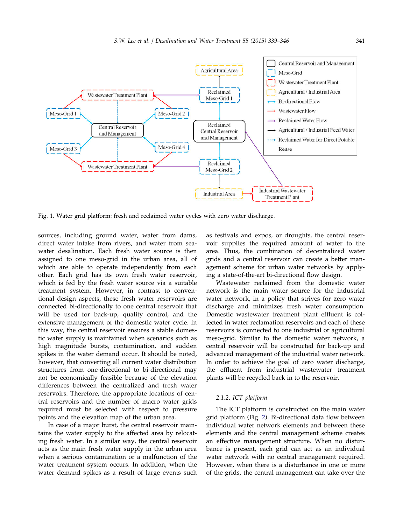<span id="page-2-0"></span>

Fig. 1. Water grid platform: fresh and reclaimed water cycles with zero water discharge.

sources, including ground water, water from dams, direct water intake from rivers, and water from seawater desalination. Each fresh water source is then assigned to one meso-grid in the urban area, all of which are able to operate independently from each other. Each grid has its own fresh water reservoir, which is fed by the fresh water source via a suitable treatment system. However, in contrast to conventional design aspects, these fresh water reservoirs are connected bi-directionally to one central reservoir that will be used for back-up, quality control, and the extensive management of the domestic water cycle. In this way, the central reservoir ensures a stable domestic water supply is maintained when scenarios such as high magnitude bursts, contamination, and sudden spikes in the water demand occur. It should be noted, however, that converting all current water distribution structures from one-directional to bi-directional may not be economically feasible because of the elevation differences between the centralized and fresh water reservoirs. Therefore, the appropriate locations of central reservoirs and the number of macro water grids required must be selected with respect to pressure points and the elevation map of the urban area.

In case of a major burst, the central reservoir maintains the water supply to the affected area by relocating fresh water. In a similar way, the central reservoir acts as the main fresh water supply in the urban area when a serious contamination or a malfunction of the water treatment system occurs. In addition, when the water demand spikes as a result of large events such as festivals and expos, or droughts, the central reservoir supplies the required amount of water to the area. Thus, the combination of decentralized water grids and a central reservoir can create a better management scheme for urban water networks by applying a state-of-the-art bi-directional flow design.

Wastewater reclaimed from the domestic water network is the main water source for the industrial water network, in a policy that strives for zero water discharge and minimizes fresh water consumption. Domestic wastewater treatment plant effluent is collected in water reclamation reservoirs and each of these reservoirs is connected to one industrial or agricultural meso-grid. Similar to the domestic water network, a central reservoir will be constructed for back-up and advanced management of the industrial water network. In order to achieve the goal of zero water discharge, the effluent from industrial wastewater treatment plants will be recycled back in to the reservoir.

# 2.1.2. ICT platform

The ICT platform is constructed on the main water grid platform (Fig. [2](#page-3-0)). Bi-directional data flow between individual water network elements and between these elements and the central management scheme creates an effective management structure. When no disturbance is present, each grid can act as an individual water network with no central management required. However, when there is a disturbance in one or more of the grids, the central management can take over the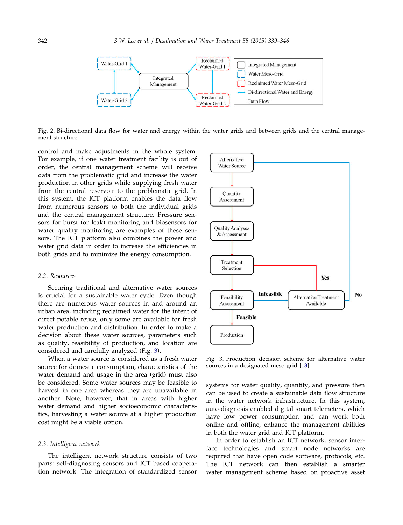<span id="page-3-0"></span>

Fig. 2. Bi-directional data flow for water and energy within the water grids and between grids and the central management structure.

control and make adjustments in the whole system. For example, if one water treatment facility is out of order, the central management scheme will receive data from the problematic grid and increase the water production in other grids while supplying fresh water from the central reservoir to the problematic grid. In this system, the ICT platform enables the data flow from numerous sensors to both the individual grids and the central management structure. Pressure sensors for burst (or leak) monitoring and biosensors for water quality monitoring are examples of these sensors. The ICT platform also combines the power and water grid data in order to increase the efficiencies in both grids and to minimize the energy consumption.

# 2.2. Resources

Securing traditional and alternative water sources is crucial for a sustainable water cycle. Even though there are numerous water sources in and around an urban area, including reclaimed water for the intent of direct potable reuse, only some are available for fresh water production and distribution. In order to make a decision about these water sources, parameters such as quality, feasibility of production, and location are considered and carefully analyzed (Fig. 3).

When a water source is considered as a fresh water source for domestic consumption, characteristics of the water demand and usage in the area (grid) must also be considered. Some water sources may be feasible to harvest in one area whereas they are unavailable in another. Note, however, that in areas with higher water demand and higher socioeconomic characteristics, harvesting a water source at a higher production cost might be a viable option.

#### 2.3. Intelligent network

The intelligent network structure consists of two parts: self-diagnosing sensors and ICT based cooperation network. The integration of standardized sensor



Fig. 3. Production decision scheme for alternative water sources in a designated meso-grid [\[13\]](#page-7-0).

systems for water quality, quantity, and pressure then can be used to create a sustainable data flow structure in the water network infrastructure. In this system, auto-diagnosis enabled digital smart telemeters, which have low power consumption and can work both online and offline, enhance the management abilities in both the water grid and ICT platform.

In order to establish an ICT network, sensor interface technologies and smart node networks are required that have open code software, protocols, etc. The ICT network can then establish a smarter water management scheme based on proactive asset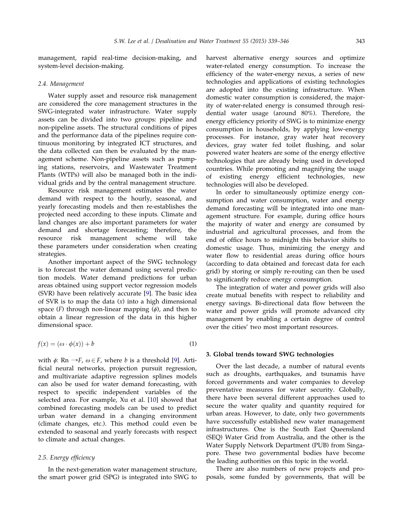management, rapid real-time decision-making, and system-level decision-making.

#### 2.4. Management

Water supply asset and resource risk management are considered the core management structures in the SWG-integrated water infrastructure. Water supply assets can be divided into two groups: pipeline and non-pipeline assets. The structural conditions of pipes and the performance data of the pipelines require continuous monitoring by integrated ICT structures, and the data collected can then be evaluated by the management scheme. Non-pipeline assets such as pumping stations, reservoirs, and Wastewater Treatment Plants (WTPs) will also be managed both in the individual grids and by the central management structure.

Resource risk management estimates the water demand with respect to the hourly, seasonal, and yearly forecasting models and then re-establishes the projected need according to these inputs. Climate and land changes are also important parameters for water demand and shortage forecasting; therefore, the resource risk management scheme will take these parameters under consideration when creating strategies.

Another important aspect of the SWG technology is to forecast the water demand using several prediction models. Water demand predictions for urban areas obtained using support vector regression models (SVR) have been relatively accurate [[9\]](#page-7-0). The basic idea of SVR is to map the data  $(x)$  into a high dimensional space  $(F)$  through non-linear mapping  $(\phi)$ , and then to obtain a linear regression of the data in this higher dimensional space.

$$
f(x) = (\omega \cdot \phi(x)) + b \tag{1}
$$

with  $\phi$ : Rn  $\rightarrow F$ ,  $\omega \in F$ , where b is a threshold [\[9\]](#page-7-0). Artificial neural networks, projection pursuit regression, and multivariate adaptive regression splines models can also be used for water demand forecasting, with respect to specific independent variables of the selected area. For example, Xu et al. [[10](#page-7-0)] showed that combined forecasting models can be used to predict urban water demand in a changing environment (climate changes, etc.). This method could even be extended to seasonal and yearly forecasts with respect to climate and actual changes.

#### 2.5. Energy efficiency

In the next-generation water management structure, the smart power grid (SPG) is integrated into SWG to harvest alternative energy sources and optimize water-related energy consumption. To increase the efficiency of the water-energy nexus, a series of new technologies and applications of existing technologies are adopted into the existing infrastructure. When domestic water consumption is considered, the majority of water-related energy is consumed through residential water usage (around 80%). Therefore, the energy efficiency priority of SWG is to minimize energy consumption in households, by applying low-energy processes. For instance, gray water heat recovery devices, gray water fed toilet flushing, and solar powered water heaters are some of the energy effective technologies that are already being used in developed countries. While promoting and magnifying the usage of existing energy efficient technologies, new technologies will also be developed.

In order to simultaneously optimize energy consumption and water consumption, water and energy demand forecasting will be integrated into one management structure. For example, during office hours the majority of water and energy are consumed by industrial and agricultural processes, and from the end of office hours to midnight this behavior shifts to domestic usage. Thus, minimizing the energy and water flow to residential areas during office hours (according to data obtained and forecast data for each grid) by storing or simply re-routing can then be used to significantly reduce energy consumption.

The integration of water and power grids will also create mutual benefits with respect to reliability and energy savings. Bi-directional data flow between the water and power grids will promote advanced city management by enabling a certain degree of control over the cities' two most important resources.

#### 3. Global trends toward SWG technologies

Over the last decade, a number of natural events such as droughts, earthquakes, and tsunamis have forced governments and water companies to develop preventative measures for water security. Globally, there have been several different approaches used to secure the water quality and quantity required for urban areas. However, to date, only two governments have successfully established new water management infrastructures. One is the South East Queensland (SEQ) Water Grid from Australia, and the other is the Water Supply Network Department (PUB) from Singapore. These two governmental bodies have become the leading authorities on this topic in the world.

There are also numbers of new projects and proposals, some funded by governments, that will be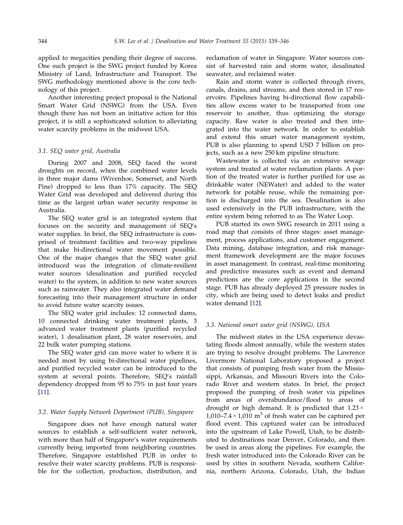applied to megacities pending their degree of success. One such project is the SWG project funded by Korea Ministry of Land, Infrastructure and Transport. The SWG methodology mentioned above is the core technology of this project.

Another interesting project proposal is the National Smart Water Grid (NSWG) from the USA. Even though there has not been an initiative action for this project, it is still a sophisticated solution to alleviating water scarcity problems in the midwest USA.

## 3.1. SEQ water grid, Australia

During 2007 and 2008, SEQ faced the worst droughts on record, when the combined water levels in three major dams (Wivenhoe, Somerset, and North Pine) dropped to less than 17% capacity. The SEQ Water Grid was developed and delivered during this time as the largest urban water security response in Australia.

The SEQ water grid is an integrated system that focuses on the security and management of SEQ's water supplies. In brief, the SEQ infrastructure is comprised of treatment facilities and two-way pipelines that make bi-directional water movement possible. One of the major changes that the SEQ water grid introduced was the integration of climate-resilient water sources (desalination and purified recycled water) to the system, in addition to new water sources such as rainwater. They also integrated water demand forecasting into their management structure in order to avoid future water scarcity issues.

The SEQ water grid includes: 12 connected dams, 10 connected drinking water treatment plants, 3 advanced water treatment plants (purified recycled water), 1 desalination plant, 28 water reservoirs, and 22 bulk water pumping stations.

The SEQ water grid can move water to where it is needed most by using bi-directional water pipelines, and purified recycled water can be introduced to the system at several points. Therefore, SEQ's rainfall dependency dropped from 95 to 75% in just four years [[11\]](#page-7-0).

#### 3.2. Water Supply Network Department (PUB), Singapore

Singapore does not have enough natural water sources to establish a self-sufficient water network, with more than half of Singapore's water requirements currently being imported from neighboring countries. Therefore, Singapore established PUB in order to resolve their water scarcity problems. PUB is responsible for the collection, production, distribution, and

reclamation of water in Singapore. Water sources consist of harvested rain and storm water, desalinated seawater, and reclaimed water.

Rain and storm water is collected through rivers, canals, drains, and streams, and then stored in 17 reservoirs. Pipelines having bi-directional flow capabilities allow excess water to be transported from one reservoir to another, thus optimizing the storage capacity. Raw water is also treated and then integrated into the water network. In order to establish and extend this smart water management system, PUB is also planning to spend USD 7 billion on projects, such as a new 250 km pipeline structure.

Wastewater is collected via an extensive sewage system and treated at water reclamation plants. A portion of the treated water is further purified for use as drinkable water (NEWater) and added to the water network for potable reuse, while the remaining portion is discharged into the sea. Desalination is also used extensively in the PUB infrastructure, with the entire system being referred to as The Water Loop.

PUB started its own SWG research in 2011 using a road map that consists of three stages: asset management, process applications, and customer engagement. Data mining, database integration, and risk management framework development are the major focuses in asset management. In contrast, real-time monitoring and predictive measures such as event and demand predictions are the core applications in the second stage. PUB has already deployed 25 pressure nodes in city, which are being used to detect leaks and predict water demand [[12](#page-7-0)].

## 3.3. National smart water grid (NSWG), USA

The midwest states in the USA experience devastating floods almost annually, while the western states are trying to resolve drought problems. The Lawrence Livermore National Laboratory proposed a project that consists of pumping fresh water from the Mississippi, Arkansas, and Missouri Rivers into the Colorado River and western states. In brief, the project proposed the pumping of fresh water via pipelines from areas of overabundance/flood to areas of drought or high demand. It is predicted that  $1.23 \times$ 1,010–7.4  $\times$  1,010 m<sup>3</sup> of fresh water can be captured per flood event. This captured water can be introduced into the upstream of Lake Powell, Utah, to be distributed to destinations near Denver, Colorado, and then be used in areas along the pipelines. For example, the fresh water introduced into the Colorado River can be used by cities in southern Nevada, southern California, northern Arizona, Colorado, Utah, the Indian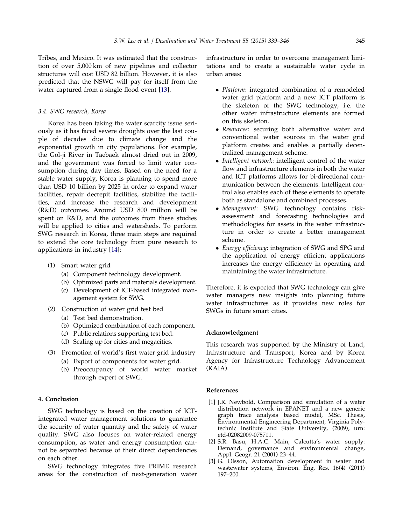<span id="page-6-0"></span>Tribes, and Mexico. It was estimated that the construction of over 5,000 km of new pipelines and collector structures will cost USD 82 billion. However, it is also predicted that the NSWG will pay for itself from the water captured from a single flood event [\[13](#page-7-0)].

# 3.4. SWG research, Korea

Korea has been taking the water scarcity issue seriously as it has faced severe droughts over the last couple of decades due to climate change and the exponential growth in city populations. For example, the Gol-ji River in Taebaek almost dried out in 2009, and the government was forced to limit water consumption during day times. Based on the need for a stable water supply, Korea is planning to spend more than USD 10 billion by 2025 in order to expand water facilities, repair decrepit facilities, stabilize the facilities, and increase the research and development (R&D) outcomes. Around USD 800 million will be spent on R&D, and the outcomes from these studies will be applied to cities and watersheds. To perform SWG research in Korea, three main steps are required to extend the core technology from pure research to applications in industry [\[14\]](#page-7-0):

- (1) Smart water grid
	- (a) Component technology development.
	- (b) Optimized parts and materials development.
	- (c) Development of ICT-based integrated management system for SWG.
- (2) Construction of water grid test bed
	- (a) Test bed demonstration.
	- (b) Optimized combination of each component.
	- (c) Public relations supporting test bed.
	- (d) Scaling up for cities and megacities.
- (3) Promotion of world's first water grid industry
	- (a) Export of components for water grid.
	- (b) Preoccupancy of world water market through expert of SWG.

# 4. Conclusion

SWG technology is based on the creation of ICTintegrated water management solutions to guarantee the security of water quantity and the safety of water quality. SWG also focuses on water-related energy consumption, as water and energy consumption cannot be separated because of their direct dependencies on each other.

SWG technology integrates five PRIME research areas for the construction of next-generation water infrastructure in order to overcome management limitations and to create a sustainable water cycle in urban areas:

- Platform: integrated combination of a remodeled water grid platform and a new ICT platform is the skeleton of the SWG technology, i.e. the other water infrastructure elements are formed on this skeleton.
- Resources: securing both alternative water and conventional water sources in the water grid platform creates and enables a partially decentralized management scheme.
- Intelligent network: intelligent control of the water flow and infrastructure elements in both the water and ICT platforms allows for bi-directional communication between the elements. Intelligent control also enables each of these elements to operate both as standalone and combined processes.
- Management: SWG technology contains riskassessment and forecasting technologies and methodologies for assets in the water infrastructure in order to create a better management scheme.
- Energy efficiency: integration of SWG and SPG and the application of energy efficient applications increases the energy efficiency in operating and maintaining the water infrastructure.

Therefore, it is expected that SWG technology can give water managers new insights into planning future water infrastructures as it provides new roles for SWGs in future smart cities.

#### Acknowledgment

This research was supported by the Ministry of Land, Infrastructure and Transport, Korea and by Korea Agency for Infrastructure Technology Advancement (KAIA).

# References

- [1] J.R. Newbold, Comparison and simulation of a water distribution network in EPANET and a new generic graph trace analysis based model, MSc. Thesis, Environmental Engineering Department, Virginia Polytechnic Institute and State University, (2009), urn: etd-02082009-075711.
- [2] S.R. Basu, H.A.C. Main, Calcutta's water supply: Demand, governance and environmental change, Appl. Geogr. 21 (2001) 23–44.
- [3] G. Olsson, Automation development in water and wastewater systems, Environ. Eng. Res. 16(4) (2011) 197–200.